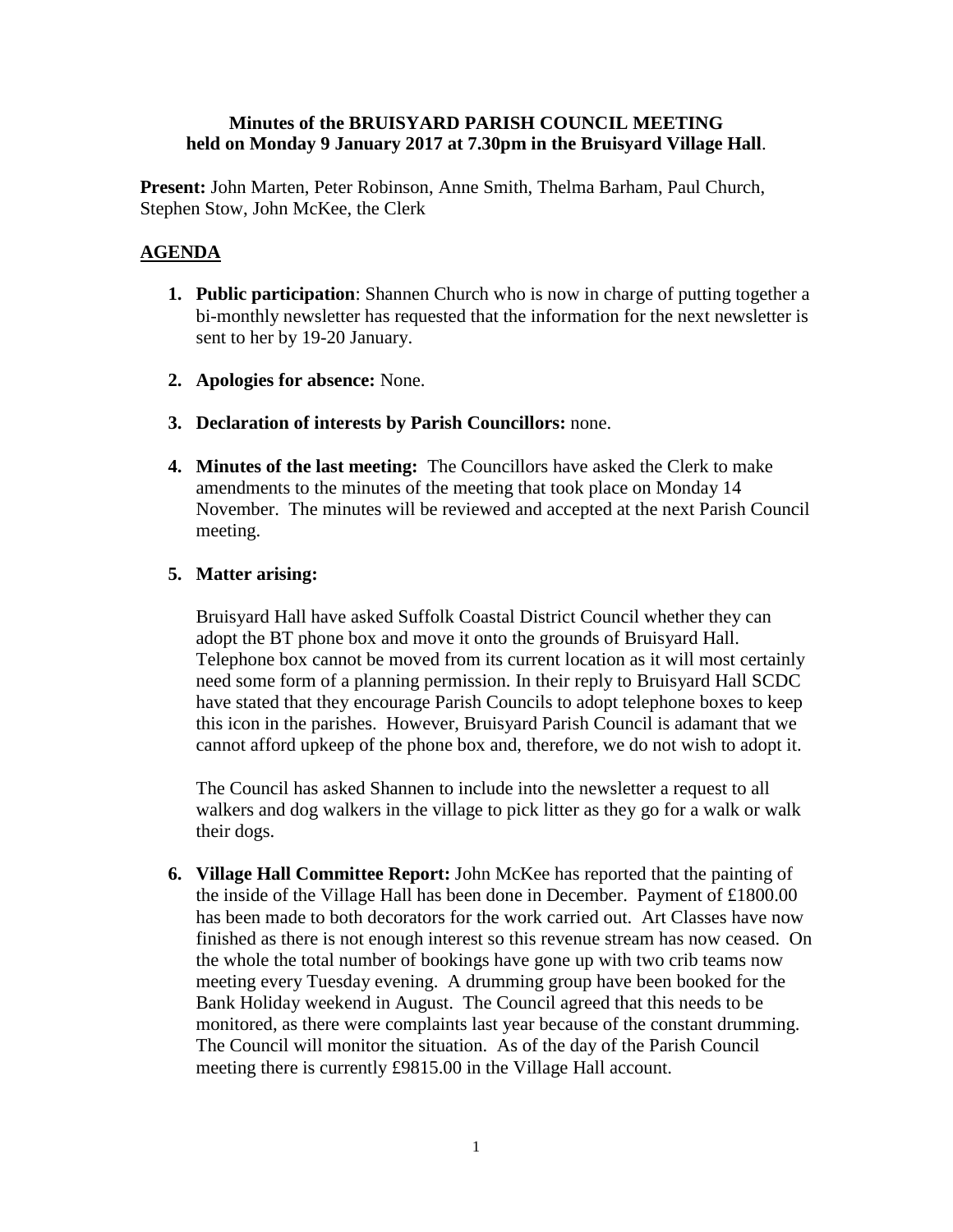### **Minutes of the BRUISYARD PARISH COUNCIL MEETING held on Monday 9 January 2017 at 7.30pm in the Bruisyard Village Hall**.

**Present:** John Marten, Peter Robinson, Anne Smith, Thelma Barham, Paul Church, Stephen Stow, John McKee, the Clerk

# **AGENDA**

- **1. Public participation**: Shannen Church who is now in charge of putting together a bi-monthly newsletter has requested that the information for the next newsletter is sent to her by 19-20 January.
- **2. Apologies for absence:** None.
- **3. Declaration of interests by Parish Councillors:** none.
- **4. Minutes of the last meeting:** The Councillors have asked the Clerk to make amendments to the minutes of the meeting that took place on Monday 14 November. The minutes will be reviewed and accepted at the next Parish Council meeting.

### **5. Matter arising:**

Bruisyard Hall have asked Suffolk Coastal District Council whether they can adopt the BT phone box and move it onto the grounds of Bruisyard Hall. Telephone box cannot be moved from its current location as it will most certainly need some form of a planning permission. In their reply to Bruisyard Hall SCDC have stated that they encourage Parish Councils to adopt telephone boxes to keep this icon in the parishes. However, Bruisyard Parish Council is adamant that we cannot afford upkeep of the phone box and, therefore, we do not wish to adopt it.

The Council has asked Shannen to include into the newsletter a request to all walkers and dog walkers in the village to pick litter as they go for a walk or walk their dogs.

**6. Village Hall Committee Report:** John McKee has reported that the painting of the inside of the Village Hall has been done in December. Payment of £1800.00 has been made to both decorators for the work carried out. Art Classes have now finished as there is not enough interest so this revenue stream has now ceased. On the whole the total number of bookings have gone up with two crib teams now meeting every Tuesday evening. A drumming group have been booked for the Bank Holiday weekend in August. The Council agreed that this needs to be monitored, as there were complaints last year because of the constant drumming. The Council will monitor the situation. As of the day of the Parish Council meeting there is currently £9815.00 in the Village Hall account.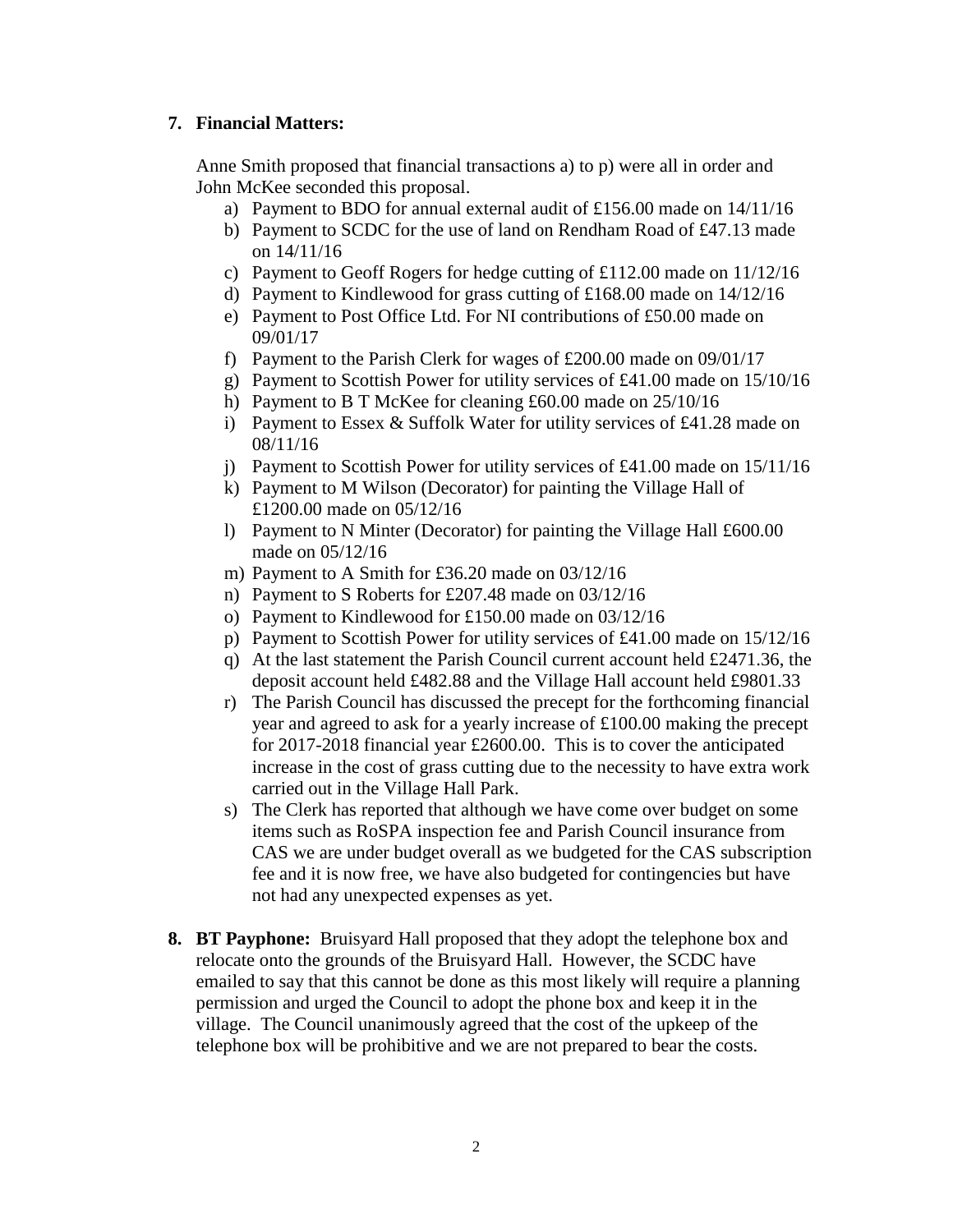# **7. Financial Matters:**

Anne Smith proposed that financial transactions a) to p) were all in order and John McKee seconded this proposal.

- a) Payment to BDO for annual external audit of £156.00 made on  $14/11/16$
- b) Payment to SCDC for the use of land on Rendham Road of £47.13 made on 14/11/16
- c) Payment to Geoff Rogers for hedge cutting of £112.00 made on 11/12/16
- d) Payment to Kindlewood for grass cutting of £168.00 made on 14/12/16
- e) Payment to Post Office Ltd. For NI contributions of £50.00 made on 09/01/17
- f) Payment to the Parish Clerk for wages of £200.00 made on 09/01/17
- g) Payment to Scottish Power for utility services of £41.00 made on 15/10/16
- h) Payment to B T McKee for cleaning £60.00 made on 25/10/16
- i) Payment to Essex & Suffolk Water for utility services of £41.28 made on 08/11/16
- j) Payment to Scottish Power for utility services of £41.00 made on 15/11/16
- k) Payment to M Wilson (Decorator) for painting the Village Hall of £1200.00 made on 05/12/16
- l) Payment to N Minter (Decorator) for painting the Village Hall £600.00 made on 05/12/16
- m) Payment to A Smith for £36.20 made on 03/12/16
- n) Payment to S Roberts for £207.48 made on 03/12/16
- o) Payment to Kindlewood for £150.00 made on 03/12/16
- p) Payment to Scottish Power for utility services of £41.00 made on 15/12/16
- q) At the last statement the Parish Council current account held £2471.36, the deposit account held £482.88 and the Village Hall account held £9801.33
- r) The Parish Council has discussed the precept for the forthcoming financial year and agreed to ask for a yearly increase of £100.00 making the precept for 2017-2018 financial year £2600.00. This is to cover the anticipated increase in the cost of grass cutting due to the necessity to have extra work carried out in the Village Hall Park.
- s) The Clerk has reported that although we have come over budget on some items such as RoSPA inspection fee and Parish Council insurance from CAS we are under budget overall as we budgeted for the CAS subscription fee and it is now free, we have also budgeted for contingencies but have not had any unexpected expenses as yet.
- **8. BT Payphone:** Bruisyard Hall proposed that they adopt the telephone box and relocate onto the grounds of the Bruisyard Hall. However, the SCDC have emailed to say that this cannot be done as this most likely will require a planning permission and urged the Council to adopt the phone box and keep it in the village. The Council unanimously agreed that the cost of the upkeep of the telephone box will be prohibitive and we are not prepared to bear the costs.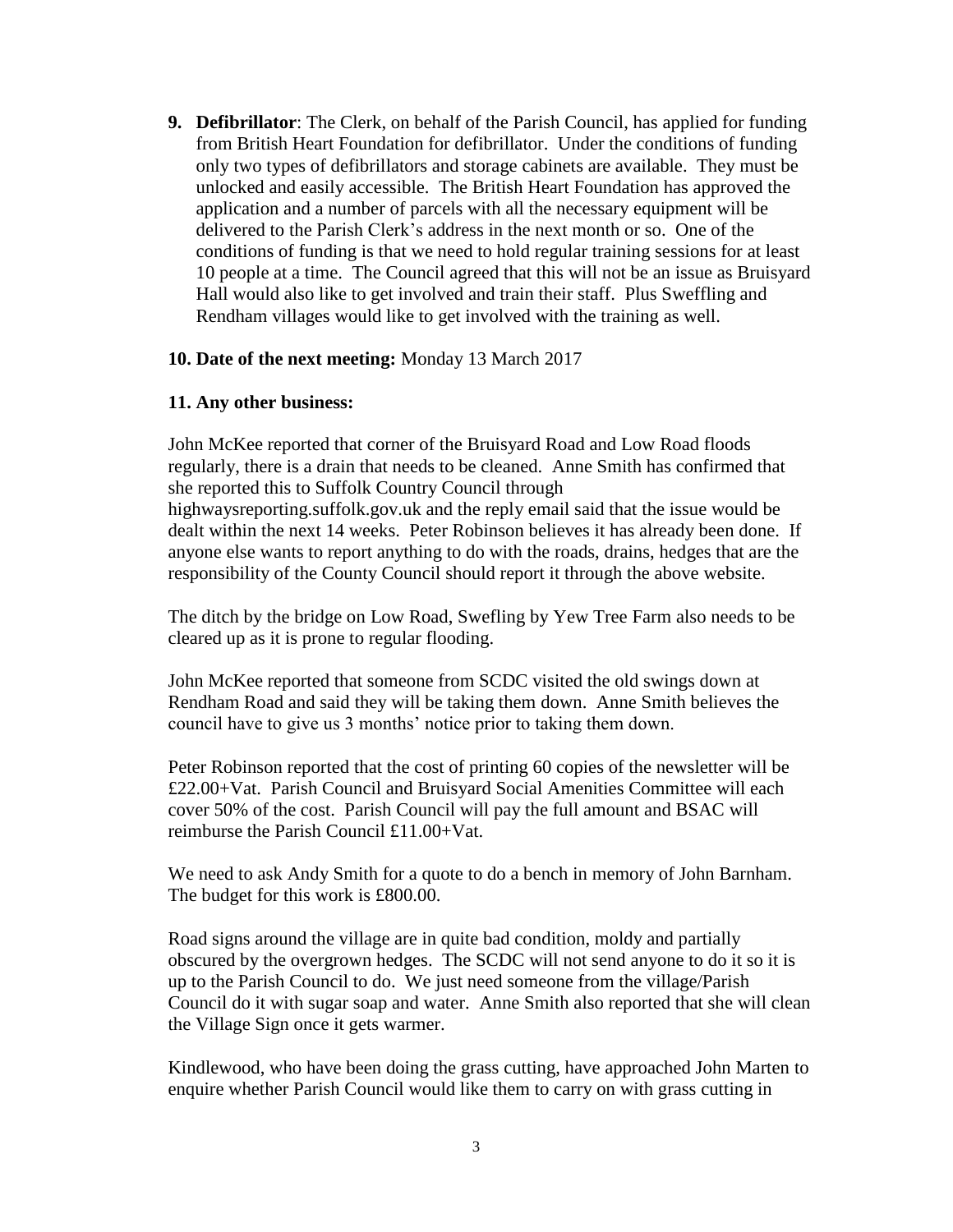**9. Defibrillator**: The Clerk, on behalf of the Parish Council, has applied for funding from British Heart Foundation for defibrillator. Under the conditions of funding only two types of defibrillators and storage cabinets are available. They must be unlocked and easily accessible. The British Heart Foundation has approved the application and a number of parcels with all the necessary equipment will be delivered to the Parish Clerk's address in the next month or so. One of the conditions of funding is that we need to hold regular training sessions for at least 10 people at a time. The Council agreed that this will not be an issue as Bruisyard Hall would also like to get involved and train their staff. Plus Sweffling and Rendham villages would like to get involved with the training as well.

#### **10. Date of the next meeting:** Monday 13 March 2017

#### **11. Any other business:**

John McKee reported that corner of the Bruisyard Road and Low Road floods regularly, there is a drain that needs to be cleaned. Anne Smith has confirmed that she reported this to Suffolk Country Council through highwaysreporting.suffolk.gov.uk and the reply email said that the issue would be dealt within the next 14 weeks. Peter Robinson believes it has already been done. If anyone else wants to report anything to do with the roads, drains, hedges that are the responsibility of the County Council should report it through the above website.

The ditch by the bridge on Low Road, Swefling by Yew Tree Farm also needs to be cleared up as it is prone to regular flooding.

John McKee reported that someone from SCDC visited the old swings down at Rendham Road and said they will be taking them down. Anne Smith believes the council have to give us 3 months' notice prior to taking them down.

Peter Robinson reported that the cost of printing 60 copies of the newsletter will be £22.00+Vat. Parish Council and Bruisyard Social Amenities Committee will each cover 50% of the cost. Parish Council will pay the full amount and BSAC will reimburse the Parish Council £11.00+Vat.

We need to ask Andy Smith for a quote to do a bench in memory of John Barnham. The budget for this work is £800.00.

Road signs around the village are in quite bad condition, moldy and partially obscured by the overgrown hedges. The SCDC will not send anyone to do it so it is up to the Parish Council to do. We just need someone from the village/Parish Council do it with sugar soap and water. Anne Smith also reported that she will clean the Village Sign once it gets warmer.

Kindlewood, who have been doing the grass cutting, have approached John Marten to enquire whether Parish Council would like them to carry on with grass cutting in